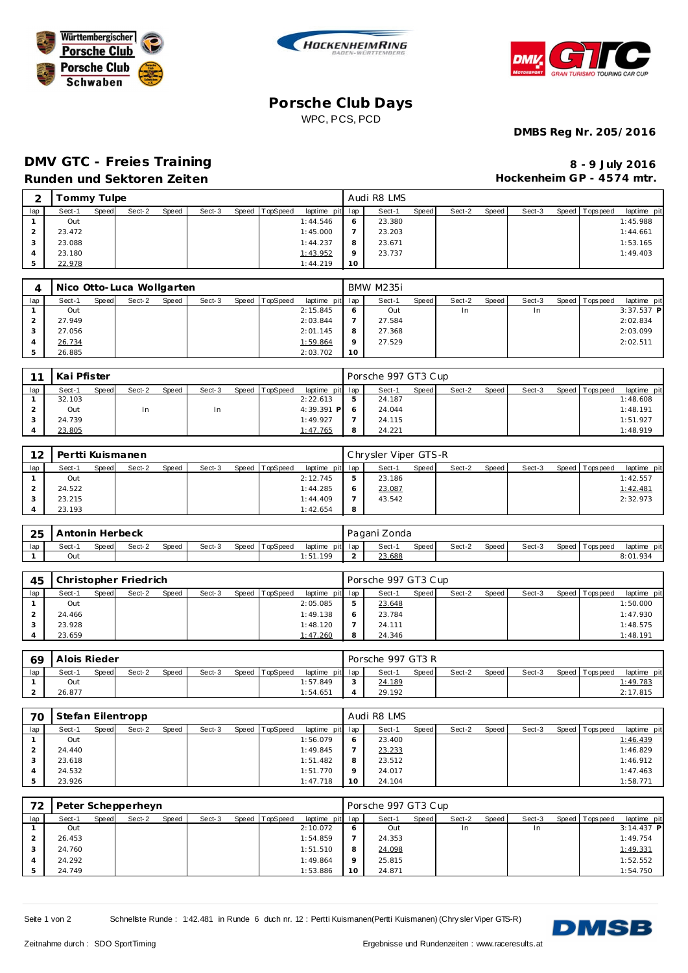





## **Porsche Club Days** WPC, PCS, PCD

**DMBS Reg Nr. 205/2016**

# **DMV GTC - Freies Training**

#### **Runden und Sektoren Zeiten**

| 8 - 9 July 2016           |
|---------------------------|
| Hockenheim GP - 4574 mtr. |

| $\bigcap$ | Tommy Tulpe |       |        |       |        |       |          |                 |                 | Audi R8 LMS |       |        |       |        |                 |             |
|-----------|-------------|-------|--------|-------|--------|-------|----------|-----------------|-----------------|-------------|-------|--------|-------|--------|-----------------|-------------|
| lap       | Sect-1      | Speed | Sect-2 | Speed | Sect-3 | Speed | TopSpeed | laptime pit lap |                 | Sect-1      | Speed | Sect-2 | Speed | Sect-3 | Speed Tops peed | laptime pit |
|           | Out         |       |        |       |        |       |          | 1:44.546        | 6               | 23.380      |       |        |       |        |                 | 1:45.988    |
|           | 23.472      |       |        |       |        |       |          | 1:45.000        |                 | 23.203      |       |        |       |        |                 | 1:44.661    |
|           | 23.088      |       |        |       |        |       |          | 1:44.237        | 8               | 23.671      |       |        |       |        |                 | 1:53.165    |
|           | 23.180      |       |        |       |        |       |          | 1:43.952        | $\circ$         | 23.737      |       |        |       |        |                 | 1:49.403    |
|           | 22.978      |       |        |       |        |       |          | 1:44.219        | 10 <sup>°</sup> |             |       |        |       |        |                 |             |

|        |       | Nico Otto-Luca Wollgarten |       |        |                |                 |         | BMW M235i |       |           |       |        |                |              |
|--------|-------|---------------------------|-------|--------|----------------|-----------------|---------|-----------|-------|-----------|-------|--------|----------------|--------------|
| Sect-1 | Speed | Sect-2                    | Speed | Sect-3 | Speed TopSpeed | laptime pit lap |         | Sect-1    | Speed | Sect-2    | Speed | Sect-3 | Speed Topspeed | laptime pit  |
| Out    |       |                           |       |        |                | 2:15.845        | -6      | Out       |       | <b>In</b> |       | In     |                | $3:37.537$ P |
| 27.949 |       |                           |       |        |                | 2:03.844        |         | 27.584    |       |           |       |        |                | 2:02.834     |
| 27.056 |       |                           |       |        |                | 2:01.145        | 8       | 27.368    |       |           |       |        |                | 2:03.099     |
| 26.734 |       |                           |       |        |                | 1:59.864        | $\circ$ | 27.529    |       |           |       |        |                | 2:02.511     |
| 26.885 |       |                           |       |        |                | 2:03.702        | 10      |           |       |           |       |        |                |              |

| 11  | Kai Pfister |       |        |       |        |       |          |                 | Porsche 997 GT3 Cup |       |        |       |        |                 |             |
|-----|-------------|-------|--------|-------|--------|-------|----------|-----------------|---------------------|-------|--------|-------|--------|-----------------|-------------|
| lap | Sect-1      | Speed | Sect-2 | Speed | Sect-3 | Speed | TopSpeed | laptime pit lap | Sect-1              | Speed | Sect-2 | Speed | Sect-3 | Speed Tops peed | laptime pit |
|     | 32.103      |       |        |       |        |       |          | 2:22.613        | 24.187              |       |        |       |        |                 | 1:48.608    |
|     | Out         |       | In     |       | In.    |       |          | $4:39.391$ P    | 24.044              |       |        |       |        |                 | 1:48.191    |
|     | 24.739      |       |        |       |        |       |          | 1:49.927        | 24.115              |       |        |       |        |                 | 1:51.927    |
|     | 23.805      |       |        |       |        |       |          | 1:47.765        | 24.221              |       |        |       |        |                 | 1:48.919    |

| 12  |        |       | Pertti Kuismanen |       |        |                |                 |         | Chrysler Viper GTS-R |       |        |         |        |                 |             |
|-----|--------|-------|------------------|-------|--------|----------------|-----------------|---------|----------------------|-------|--------|---------|--------|-----------------|-------------|
| lap | Sect-1 | Speed | Sect-2           | Speed | Sect-3 | Speed TopSpeed | laptime pit lap |         | Sect-1               | Speed | Sect-2 | Speed I | Sect-3 | Speed Tops peed | laptime pit |
|     | Out    |       |                  |       |        |                | 2:12.745        |         | 23.186               |       |        |         |        |                 | 1:42.557    |
|     | 24.522 |       |                  |       |        |                | 1:44.285        | $\circ$ | 23.087               |       |        |         |        |                 | 1:42.481    |
|     | 23.215 |       |                  |       |        |                | 1:44.409        |         | 43.542               |       |        |         |        |                 | 2:32.973    |
|     | 23.193 |       |                  |       |        |                | 1:42.654        | -8      |                      |       |        |         |        |                 |             |

| 25  | Antonin Herbeck |              |        |       |        |         |          |         |         | Pagani Zonda |       |        |       |        |                |             |
|-----|-----------------|--------------|--------|-------|--------|---------|----------|---------|---------|--------------|-------|--------|-------|--------|----------------|-------------|
| lap | Sect-1          | <b>Speed</b> | Sect-2 | Speed | Sect-3 | Speed T | TopSpeed | laptime | pit lap | Sect-1       | Speed | Sect-2 | Speed | Sect-3 | Speed Topspeed | laptime pit |
|     | Out             |              |        |       |        |         |          | :51.199 |         | 23.688       |       |        |       |        |                | 8:01.934    |

| 45  |        |       | Christopher Friedrich |       |        |                |                 | Porsche 997 GT3 Cup |       |        |         |        |                 |             |
|-----|--------|-------|-----------------------|-------|--------|----------------|-----------------|---------------------|-------|--------|---------|--------|-----------------|-------------|
| lap | Sect-1 | Speed | Sect-2                | Speed | Sect-3 | Speed TopSpeed | laptime pit lap | Sect-1              | Speed | Sect-2 | Speed I | Sect-3 | Speed Tops peed | laptime pit |
|     | Out    |       |                       |       |        |                | 2:05.085        | 23.648              |       |        |         |        |                 | 1:50.000    |
|     | 24.466 |       |                       |       |        |                | 1:49.138        | 23.784              |       |        |         |        |                 | 1:47.930    |
|     | 23.928 |       |                       |       |        |                | 1:48.120        | 24.111              |       |        |         |        |                 | 1:48.575    |
|     | 23.659 |       |                       |       |        |                | 1:47.260        | 24.346              |       |        |         |        |                 | 1:48.191    |

| 69  | Alois Rieder |              |        |              |        |                  |                 |            | Porsche 997 GT3 R |       |        |       |        |                   |             |
|-----|--------------|--------------|--------|--------------|--------|------------------|-----------------|------------|-------------------|-------|--------|-------|--------|-------------------|-------------|
| lap | Sect-        | <b>Speed</b> | Sect-2 | <b>Speed</b> | Sect-3 | Speed   TopSpeed | laptime pit lap |            | Sect-1            | Speed | Sect-2 | Speed | Sect-3 | Speed   Tops peed | laptime pit |
|     | Out          |              |        |              |        |                  | 1:57.849        | $\sqrt{2}$ | 24.189            |       |        |       |        |                   | 1:49.783    |
| ∠   | 26.877       |              |        |              |        |                  | 1:54.651        |            | 29.192            |       |        |       |        |                   | 2:17.815    |

| 70  | Stefan Eilentropp |       |        |       |        |       |                 |                 |         | Audi R8 LMS |       |        |       |        |                |             |
|-----|-------------------|-------|--------|-------|--------|-------|-----------------|-----------------|---------|-------------|-------|--------|-------|--------|----------------|-------------|
| lap | Sect-1            | Speed | Sect-2 | Speed | Sect-3 | Speed | <b>TopSpeed</b> | laptime pit lap |         | Sect-1      | Speed | Sect-2 | Speed | Sect-3 | Speed Topspeed | laptime pit |
|     | Out               |       |        |       |        |       |                 | 1:56.079        | $\circ$ | 23.400      |       |        |       |        |                | 1:46.439    |
|     | 24.440            |       |        |       |        |       |                 | 1:49.845        |         | 23.233      |       |        |       |        |                | 1:46.829    |
|     | 23.618            |       |        |       |        |       |                 | 1:51.482        | 8       | 23.512      |       |        |       |        |                | 1:46.912    |
|     | 24.532            |       |        |       |        |       |                 | 1:51.770        |         | 24.017      |       |        |       |        |                | 1:47.463    |
|     | 23.926            |       |        |       |        |       |                 | 1:47.718        |         | 24.104      |       |        |       |        |                | 1:58.771    |

| 72  |        |       | Peter Schepperheyn |       |        |       |          |                 |          | Porsche 997 GT3 Cup |       |        |       |        |                 |              |
|-----|--------|-------|--------------------|-------|--------|-------|----------|-----------------|----------|---------------------|-------|--------|-------|--------|-----------------|--------------|
| lap | Sect-1 | Speed | Sect-2             | Speed | Sect-3 | Speed | TopSpeed | laptime pit lap |          | Sect-1              | Speed | Sect-2 | Speed | Sect-3 | Speed Tops peed | laptime pit  |
|     | Out    |       |                    |       |        |       |          | 2:10.072        |          | Out                 |       | In.    |       |        |                 | $3:14.437$ P |
|     | 26.453 |       |                    |       |        |       |          | 1:54.859        |          | 24.353              |       |        |       |        |                 | 1:49.754     |
|     | 24.760 |       |                    |       |        |       |          | 1:51.510        | 8        | 24.098              |       |        |       |        |                 | 1:49.331     |
|     | 24.292 |       |                    |       |        |       |          | 1:49.864        | $\Omega$ | 25.815              |       |        |       |        |                 | 1:52.552     |
|     | 24.749 |       |                    |       |        |       |          | 1:53.886        | 10       | 24.871              |       |        |       |        |                 | 1:54.750     |

Seite 1 von 2 Schnellste Runde : 1:42.481 in Runde 6 duch nr. 12 : Pertti Kuismanen(Pertti Kuismanen) (Chry sler Viper GTS-R)